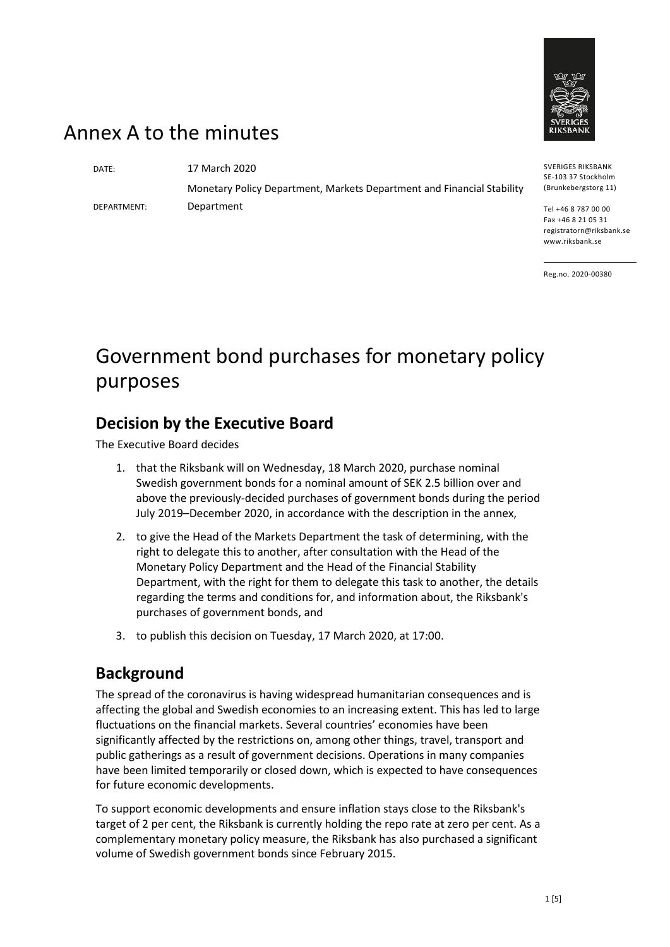

## Annex A to the minutes

DEPARTMENT:

DATE: 17 March 2020 Monetary Policy Department, Markets Department and Financial Stability Department

SVERIGES RIKSBANK SE-103 37 Stockholm (Brunkebergstorg 11)

Tel +46 8 787 00 00 Fax +46 8 21 05 31 registratorn@riksbank.se www.riksbank.se

Reg.no. 2020-00380

# Government bond purchases for monetary policy purposes

## **Decision by the Executive Board**

The Executive Board decides

- 1. that the Riksbank will on Wednesday, 18 March 2020, purchase nominal Swedish government bonds for a nominal amount of SEK 2.5 billion over and above the previously-decided purchases of government bonds during the period July 2019–December 2020, in accordance with the description in the annex,
- 2. to give the Head of the Markets Department the task of determining, with the right to delegate this to another, after consultation with the Head of the Monetary Policy Department and the Head of the Financial Stability Department, with the right for them to delegate this task to another, the details regarding the terms and conditions for, and information about, the Riksbank's purchases of government bonds, and
- 3. to publish this decision on Tuesday, 17 March 2020, at 17:00.

### **Background**

The spread of the coronavirus is having widespread humanitarian consequences and is affecting the global and Swedish economies to an increasing extent. This has led to large fluctuations on the financial markets. Several countries' economies have been significantly affected by the restrictions on, among other things, travel, transport and public gatherings as a result of government decisions. Operations in many companies have been limited temporarily or closed down, which is expected to have consequences for future economic developments.

To support economic developments and ensure inflation stays close to the Riksbank's target of 2 per cent, the Riksbank is currently holding the repo rate at zero per cent. As a complementary monetary policy measure, the Riksbank has also purchased a significant volume of Swedish government bonds since February 2015.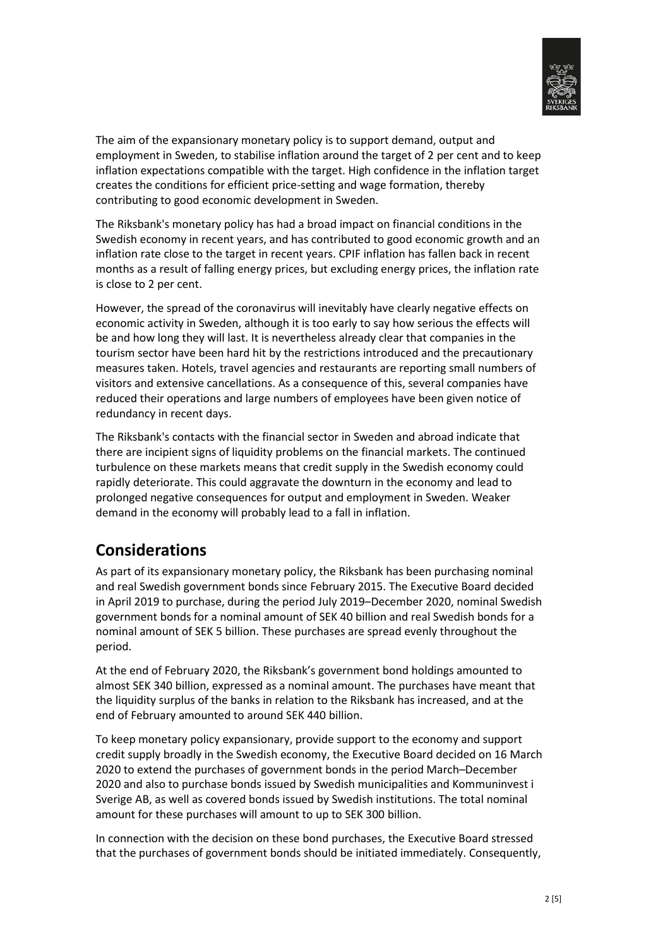

The aim of the expansionary monetary policy is to support demand, output and employment in Sweden, to stabilise inflation around the target of 2 per cent and to keep inflation expectations compatible with the target. High confidence in the inflation target creates the conditions for efficient price-setting and wage formation, thereby contributing to good economic development in Sweden.

The Riksbank's monetary policy has had a broad impact on financial conditions in the Swedish economy in recent years, and has contributed to good economic growth and an inflation rate close to the target in recent years. CPIF inflation has fallen back in recent months as a result of falling energy prices, but excluding energy prices, the inflation rate is close to 2 per cent.

However, the spread of the coronavirus will inevitably have clearly negative effects on economic activity in Sweden, although it is too early to say how serious the effects will be and how long they will last. It is nevertheless already clear that companies in the tourism sector have been hard hit by the restrictions introduced and the precautionary measures taken. Hotels, travel agencies and restaurants are reporting small numbers of visitors and extensive cancellations. As a consequence of this, several companies have reduced their operations and large numbers of employees have been given notice of redundancy in recent days.

The Riksbank's contacts with the financial sector in Sweden and abroad indicate that there are incipient signs of liquidity problems on the financial markets. The continued turbulence on these markets means that credit supply in the Swedish economy could rapidly deteriorate. This could aggravate the downturn in the economy and lead to prolonged negative consequences for output and employment in Sweden. Weaker demand in the economy will probably lead to a fall in inflation.

## **Considerations**

As part of its expansionary monetary policy, the Riksbank has been purchasing nominal and real Swedish government bonds since February 2015. The Executive Board decided in April 2019 to purchase, during the period July 2019–December 2020, nominal Swedish government bonds for a nominal amount of SEK 40 billion and real Swedish bonds for a nominal amount of SEK 5 billion. These purchases are spread evenly throughout the period.

At the end of February 2020, the Riksbank's government bond holdings amounted to almost SEK 340 billion, expressed as a nominal amount. The purchases have meant that the liquidity surplus of the banks in relation to the Riksbank has increased, and at the end of February amounted to around SEK 440 billion.

To keep monetary policy expansionary, provide support to the economy and support credit supply broadly in the Swedish economy, the Executive Board decided on 16 March 2020 to extend the purchases of government bonds in the period March–December 2020 and also to purchase bonds issued by Swedish municipalities and Kommuninvest i Sverige AB, as well as covered bonds issued by Swedish institutions. The total nominal amount for these purchases will amount to up to SEK 300 billion.

In connection with the decision on these bond purchases, the Executive Board stressed that the purchases of government bonds should be initiated immediately. Consequently,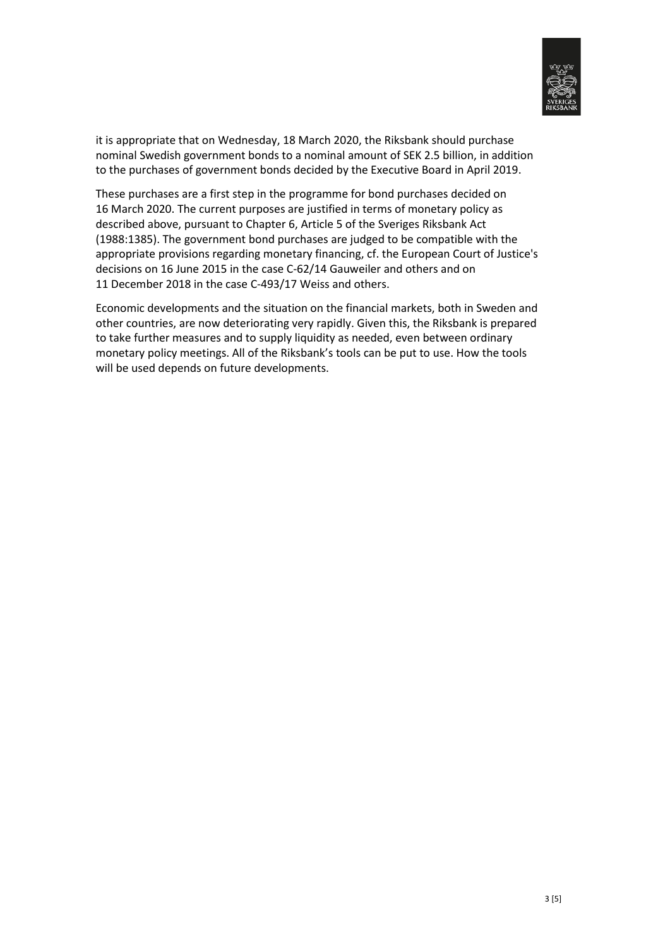

it is appropriate that on Wednesday, 18 March 2020, the Riksbank should purchase nominal Swedish government bonds to a nominal amount of SEK 2.5 billion, in addition to the purchases of government bonds decided by the Executive Board in April 2019.

These purchases are a first step in the programme for bond purchases decided on 16 March 2020. The current purposes are justified in terms of monetary policy as described above, pursuant to Chapter 6, Article 5 of the Sveriges Riksbank Act (1988:1385). The government bond purchases are judged to be compatible with the appropriate provisions regarding monetary financing, cf. the European Court of Justice's decisions on 16 June 2015 in the case C-62/14 Gauweiler and others and on 11 December 2018 in the case C-493/17 Weiss and others.

Economic developments and the situation on the financial markets, both in Sweden and other countries, are now deteriorating very rapidly. Given this, the Riksbank is prepared to take further measures and to supply liquidity as needed, even between ordinary monetary policy meetings. All of the Riksbank's tools can be put to use. How the tools will be used depends on future developments.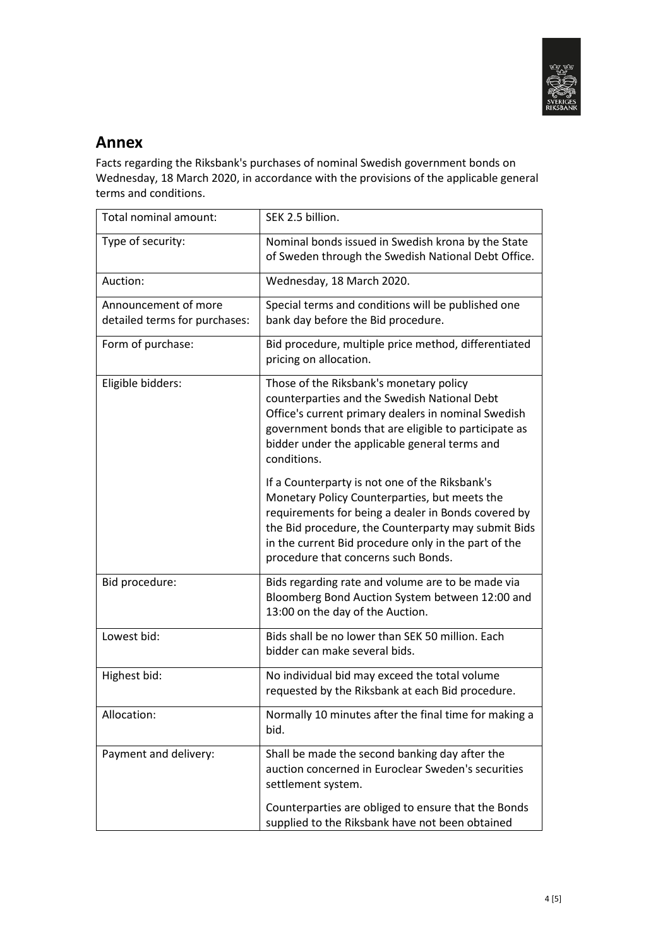

#### **Annex**

Facts regarding the Riksbank's purchases of nominal Swedish government bonds on Wednesday, 18 March 2020, in accordance with the provisions of the applicable general terms and conditions.

| Total nominal amount:                                 | SEK 2.5 billion.                                                                                                                                                                                                                                                                                             |
|-------------------------------------------------------|--------------------------------------------------------------------------------------------------------------------------------------------------------------------------------------------------------------------------------------------------------------------------------------------------------------|
| Type of security:                                     | Nominal bonds issued in Swedish krona by the State<br>of Sweden through the Swedish National Debt Office.                                                                                                                                                                                                    |
| Auction:                                              | Wednesday, 18 March 2020.                                                                                                                                                                                                                                                                                    |
| Announcement of more<br>detailed terms for purchases: | Special terms and conditions will be published one<br>bank day before the Bid procedure.                                                                                                                                                                                                                     |
| Form of purchase:                                     | Bid procedure, multiple price method, differentiated<br>pricing on allocation.                                                                                                                                                                                                                               |
| Eligible bidders:                                     | Those of the Riksbank's monetary policy<br>counterparties and the Swedish National Debt<br>Office's current primary dealers in nominal Swedish<br>government bonds that are eligible to participate as<br>bidder under the applicable general terms and<br>conditions.                                       |
|                                                       | If a Counterparty is not one of the Riksbank's<br>Monetary Policy Counterparties, but meets the<br>requirements for being a dealer in Bonds covered by<br>the Bid procedure, the Counterparty may submit Bids<br>in the current Bid procedure only in the part of the<br>procedure that concerns such Bonds. |
| Bid procedure:                                        | Bids regarding rate and volume are to be made via<br>Bloomberg Bond Auction System between 12:00 and<br>13:00 on the day of the Auction.                                                                                                                                                                     |
| Lowest bid:                                           | Bids shall be no lower than SEK 50 million. Each<br>bidder can make several bids.                                                                                                                                                                                                                            |
| Highest bid:                                          | No individual bid may exceed the total volume<br>requested by the Riksbank at each Bid procedure.                                                                                                                                                                                                            |
| Allocation:                                           | Normally 10 minutes after the final time for making a<br>bid.                                                                                                                                                                                                                                                |
| Payment and delivery:                                 | Shall be made the second banking day after the<br>auction concerned in Euroclear Sweden's securities<br>settlement system.                                                                                                                                                                                   |
|                                                       | Counterparties are obliged to ensure that the Bonds<br>supplied to the Riksbank have not been obtained                                                                                                                                                                                                       |